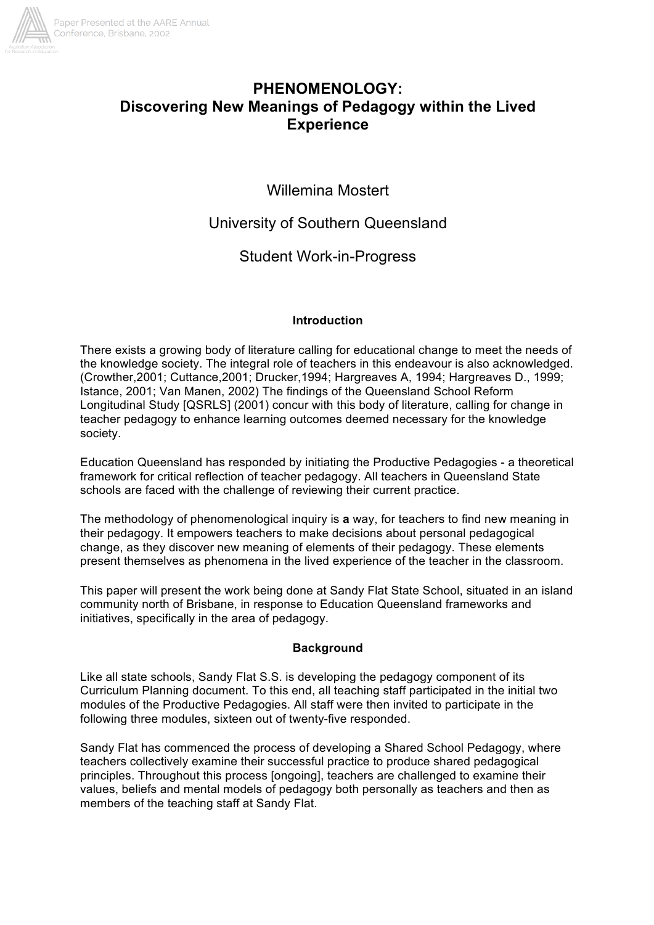

# **PHENOMENOLOGY: Discovering New Meanings of Pedagogy within the Lived Experience**

Willemina Mostert

University of Southern Queensland

Student Work-in-Progress

## **Introduction**

There exists a growing body of literature calling for educational change to meet the needs of the knowledge society. The integral role of teachers in this endeavour is also acknowledged. (Crowther,2001; Cuttance,2001; Drucker,1994; Hargreaves A, 1994; Hargreaves D., 1999; Istance, 2001; Van Manen, 2002) The findings of the Queensland School Reform Longitudinal Study [QSRLS] (2001) concur with this body of literature, calling for change in teacher pedagogy to enhance learning outcomes deemed necessary for the knowledge society.

Education Queensland has responded by initiating the Productive Pedagogies - a theoretical framework for critical reflection of teacher pedagogy. All teachers in Queensland State schools are faced with the challenge of reviewing their current practice.

The methodology of phenomenological inquiry is **a** way, for teachers to find new meaning in their pedagogy. It empowers teachers to make decisions about personal pedagogical change, as they discover new meaning of elements of their pedagogy. These elements present themselves as phenomena in the lived experience of the teacher in the classroom.

This paper will present the work being done at Sandy Flat State School, situated in an island community north of Brisbane, in response to Education Queensland frameworks and initiatives, specifically in the area of pedagogy.

# **Background**

Like all state schools, Sandy Flat S.S. is developing the pedagogy component of its Curriculum Planning document. To this end, all teaching staff participated in the initial two modules of the Productive Pedagogies. All staff were then invited to participate in the following three modules, sixteen out of twenty-five responded.

Sandy Flat has commenced the process of developing a Shared School Pedagogy, where teachers collectively examine their successful practice to produce shared pedagogical principles. Throughout this process [ongoing], teachers are challenged to examine their values, beliefs and mental models of pedagogy both personally as teachers and then as members of the teaching staff at Sandy Flat.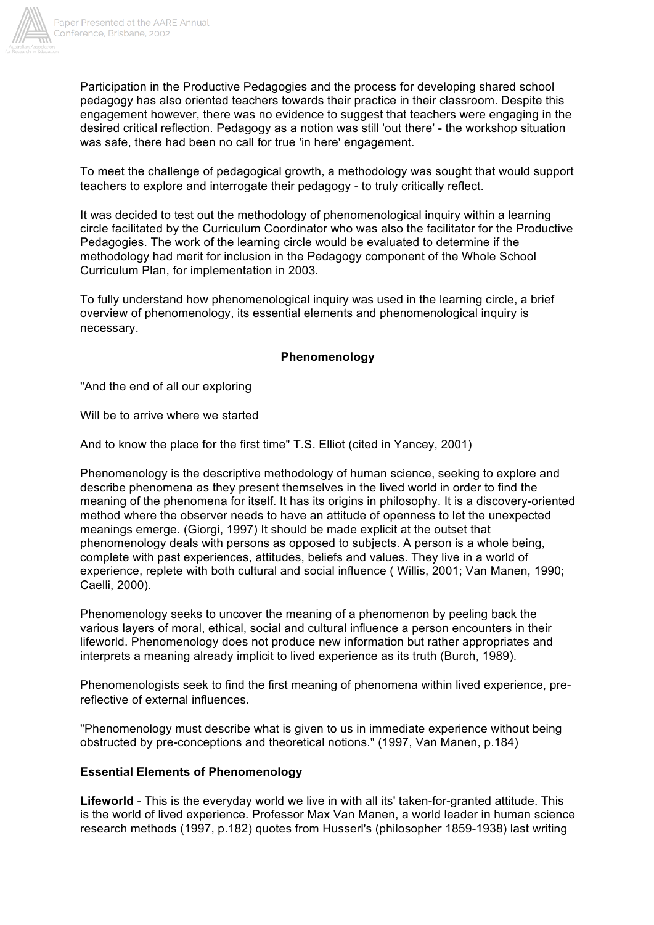

Participation in the Productive Pedagogies and the process for developing shared school pedagogy has also oriented teachers towards their practice in their classroom. Despite this engagement however, there was no evidence to suggest that teachers were engaging in the desired critical reflection. Pedagogy as a notion was still 'out there' - the workshop situation was safe, there had been no call for true 'in here' engagement.

To meet the challenge of pedagogical growth, a methodology was sought that would support teachers to explore and interrogate their pedagogy - to truly critically reflect.

It was decided to test out the methodology of phenomenological inquiry within a learning circle facilitated by the Curriculum Coordinator who was also the facilitator for the Productive Pedagogies. The work of the learning circle would be evaluated to determine if the methodology had merit for inclusion in the Pedagogy component of the Whole School Curriculum Plan, for implementation in 2003.

To fully understand how phenomenological inquiry was used in the learning circle, a brief overview of phenomenology, its essential elements and phenomenological inquiry is necessary.

## **Phenomenology**

"And the end of all our exploring

Will be to arrive where we started

And to know the place for the first time" T.S. Elliot (cited in Yancey, 2001)

Phenomenology is the descriptive methodology of human science, seeking to explore and describe phenomena as they present themselves in the lived world in order to find the meaning of the phenomena for itself. It has its origins in philosophy. It is a discovery-oriented method where the observer needs to have an attitude of openness to let the unexpected meanings emerge. (Giorgi, 1997) It should be made explicit at the outset that phenomenology deals with persons as opposed to subjects. A person is a whole being, complete with past experiences, attitudes, beliefs and values. They live in a world of experience, replete with both cultural and social influence ( Willis, 2001; Van Manen, 1990; Caelli, 2000).

Phenomenology seeks to uncover the meaning of a phenomenon by peeling back the various layers of moral, ethical, social and cultural influence a person encounters in their lifeworld. Phenomenology does not produce new information but rather appropriates and interprets a meaning already implicit to lived experience as its truth (Burch, 1989).

Phenomenologists seek to find the first meaning of phenomena within lived experience, prereflective of external influences.

"Phenomenology must describe what is given to us in immediate experience without being obstructed by pre-conceptions and theoretical notions." (1997, Van Manen, p.184)

## **Essential Elements of Phenomenology**

**Lifeworld** - This is the everyday world we live in with all its' taken-for-granted attitude. This is the world of lived experience. Professor Max Van Manen, a world leader in human science research methods (1997, p.182) quotes from Husserl's (philosopher 1859-1938) last writing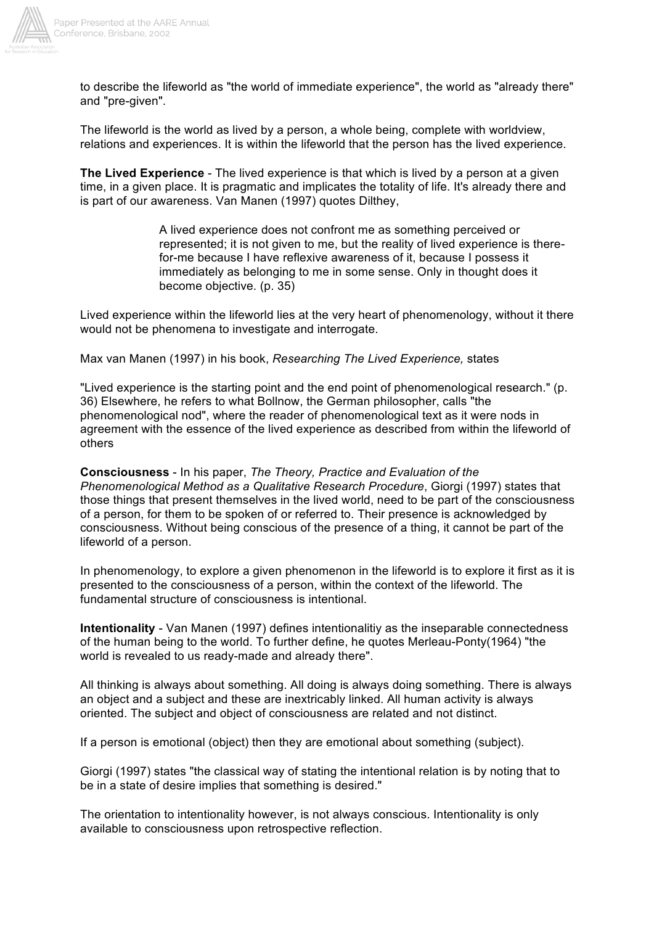

to describe the lifeworld as "the world of immediate experience", the world as "already there" and "pre-given".

The lifeworld is the world as lived by a person, a whole being, complete with worldview, relations and experiences. It is within the lifeworld that the person has the lived experience.

**The Lived Experience** - The lived experience is that which is lived by a person at a given time, in a given place. It is pragmatic and implicates the totality of life. It's already there and is part of our awareness. Van Manen (1997) quotes Dilthey,

> A lived experience does not confront me as something perceived or represented; it is not given to me, but the reality of lived experience is therefor-me because I have reflexive awareness of it, because I possess it immediately as belonging to me in some sense. Only in thought does it become objective. (p. 35)

Lived experience within the lifeworld lies at the very heart of phenomenology, without it there would not be phenomena to investigate and interrogate.

Max van Manen (1997) in his book, *Researching The Lived Experience,* states

"Lived experience is the starting point and the end point of phenomenological research." (p. 36) Elsewhere, he refers to what Bollnow, the German philosopher, calls "the phenomenological nod", where the reader of phenomenological text as it were nods in agreement with the essence of the lived experience as described from within the lifeworld of others

**Consciousness** - In his paper, *The Theory, Practice and Evaluation of the Phenomenological Method as a Qualitative Research Procedure*, Giorgi (1997) states that those things that present themselves in the lived world, need to be part of the consciousness of a person, for them to be spoken of or referred to. Their presence is acknowledged by consciousness. Without being conscious of the presence of a thing, it cannot be part of the lifeworld of a person.

In phenomenology, to explore a given phenomenon in the lifeworld is to explore it first as it is presented to the consciousness of a person, within the context of the lifeworld. The fundamental structure of consciousness is intentional.

**Intentionality** - Van Manen (1997) defines intentionalitiy as the inseparable connectedness of the human being to the world. To further define, he quotes Merleau-Ponty(1964) "the world is revealed to us ready-made and already there".

All thinking is always about something. All doing is always doing something. There is always an object and a subject and these are inextricably linked. All human activity is always oriented. The subject and object of consciousness are related and not distinct.

If a person is emotional (object) then they are emotional about something (subject).

Giorgi (1997) states "the classical way of stating the intentional relation is by noting that to be in a state of desire implies that something is desired."

The orientation to intentionality however, is not always conscious. Intentionality is only available to consciousness upon retrospective reflection.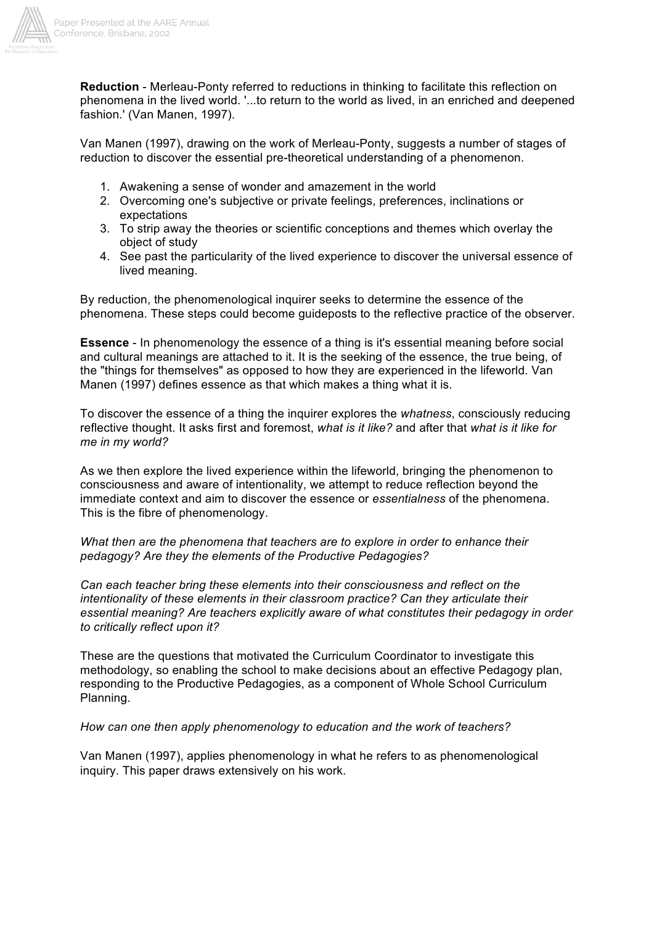

**Reduction** - Merleau-Ponty referred to reductions in thinking to facilitate this reflection on phenomena in the lived world. '...to return to the world as lived, in an enriched and deepened fashion.' (Van Manen, 1997).

Van Manen (1997), drawing on the work of Merleau-Ponty, suggests a number of stages of reduction to discover the essential pre-theoretical understanding of a phenomenon.

- 1. Awakening a sense of wonder and amazement in the world
- 2. Overcoming one's subjective or private feelings, preferences, inclinations or expectations
- 3. To strip away the theories or scientific conceptions and themes which overlay the object of study
- 4. See past the particularity of the lived experience to discover the universal essence of lived meaning.

By reduction, the phenomenological inquirer seeks to determine the essence of the phenomena. These steps could become guideposts to the reflective practice of the observer.

**Essence** - In phenomenology the essence of a thing is it's essential meaning before social and cultural meanings are attached to it. It is the seeking of the essence, the true being, of the "things for themselves" as opposed to how they are experienced in the lifeworld. Van Manen (1997) defines essence as that which makes a thing what it is.

To discover the essence of a thing the inquirer explores the *whatness*, consciously reducing reflective thought. It asks first and foremost, *what is it like?* and after that *what is it like for me in my world?*

As we then explore the lived experience within the lifeworld, bringing the phenomenon to consciousness and aware of intentionality, we attempt to reduce reflection beyond the immediate context and aim to discover the essence or *essentialness* of the phenomena. This is the fibre of phenomenology.

*What then are the phenomena that teachers are to explore in order to enhance their pedagogy? Are they the elements of the Productive Pedagogies?*

*Can each teacher bring these elements into their consciousness and reflect on the intentionality of these elements in their classroom practice? Can they articulate their essential meaning? Are teachers explicitly aware of what constitutes their pedagogy in order to critically reflect upon it?*

These are the questions that motivated the Curriculum Coordinator to investigate this methodology, so enabling the school to make decisions about an effective Pedagogy plan, responding to the Productive Pedagogies, as a component of Whole School Curriculum Planning.

## *How can one then apply phenomenology to education and the work of teachers?*

Van Manen (1997), applies phenomenology in what he refers to as phenomenological inquiry. This paper draws extensively on his work.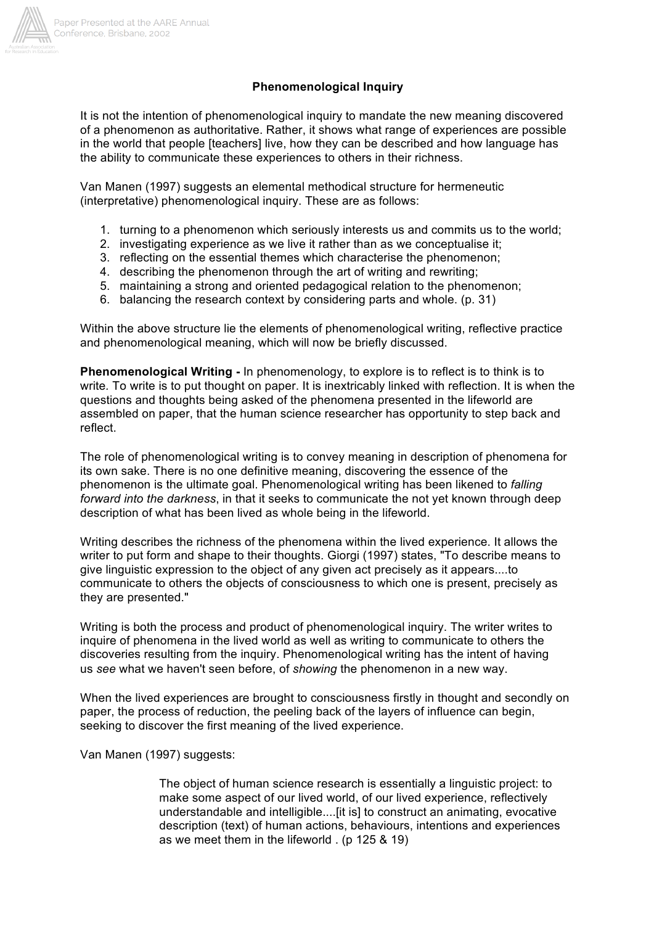

## **Phenomenological Inquiry**

It is not the intention of phenomenological inquiry to mandate the new meaning discovered of a phenomenon as authoritative. Rather, it shows what range of experiences are possible in the world that people [teachers] live, how they can be described and how language has the ability to communicate these experiences to others in their richness.

Van Manen (1997) suggests an elemental methodical structure for hermeneutic (interpretative) phenomenological inquiry. These are as follows:

- 1. turning to a phenomenon which seriously interests us and commits us to the world;
- 2. investigating experience as we live it rather than as we conceptualise it;
- 3. reflecting on the essential themes which characterise the phenomenon;
- 4. describing the phenomenon through the art of writing and rewriting;
- 5. maintaining a strong and oriented pedagogical relation to the phenomenon;
- 6. balancing the research context by considering parts and whole. (p. 31)

Within the above structure lie the elements of phenomenological writing, reflective practice and phenomenological meaning, which will now be briefly discussed.

**Phenomenological Writing -** In phenomenology, to explore is to reflect is to think is to write*.* To write is to put thought on paper. It is inextricably linked with reflection. It is when the questions and thoughts being asked of the phenomena presented in the lifeworld are assembled on paper, that the human science researcher has opportunity to step back and reflect.

The role of phenomenological writing is to convey meaning in description of phenomena for its own sake. There is no one definitive meaning, discovering the essence of the phenomenon is the ultimate goal. Phenomenological writing has been likened to *falling forward into the darkness*, in that it seeks to communicate the not yet known through deep description of what has been lived as whole being in the lifeworld.

Writing describes the richness of the phenomena within the lived experience. It allows the writer to put form and shape to their thoughts. Giorgi (1997) states, "To describe means to give linguistic expression to the object of any given act precisely as it appears....to communicate to others the objects of consciousness to which one is present, precisely as they are presented."

Writing is both the process and product of phenomenological inquiry. The writer writes to inquire of phenomena in the lived world as well as writing to communicate to others the discoveries resulting from the inquiry. Phenomenological writing has the intent of having us *see* what we haven't seen before, of *showing* the phenomenon in a new way.

When the lived experiences are brought to consciousness firstly in thought and secondly on paper, the process of reduction, the peeling back of the layers of influence can begin, seeking to discover the first meaning of the lived experience.

Van Manen (1997) suggests:

The object of human science research is essentially a linguistic project: to make some aspect of our lived world, of our lived experience, reflectively understandable and intelligible....[it is] to construct an animating, evocative description (text) of human actions, behaviours, intentions and experiences as we meet them in the lifeworld . (p 125 & 19)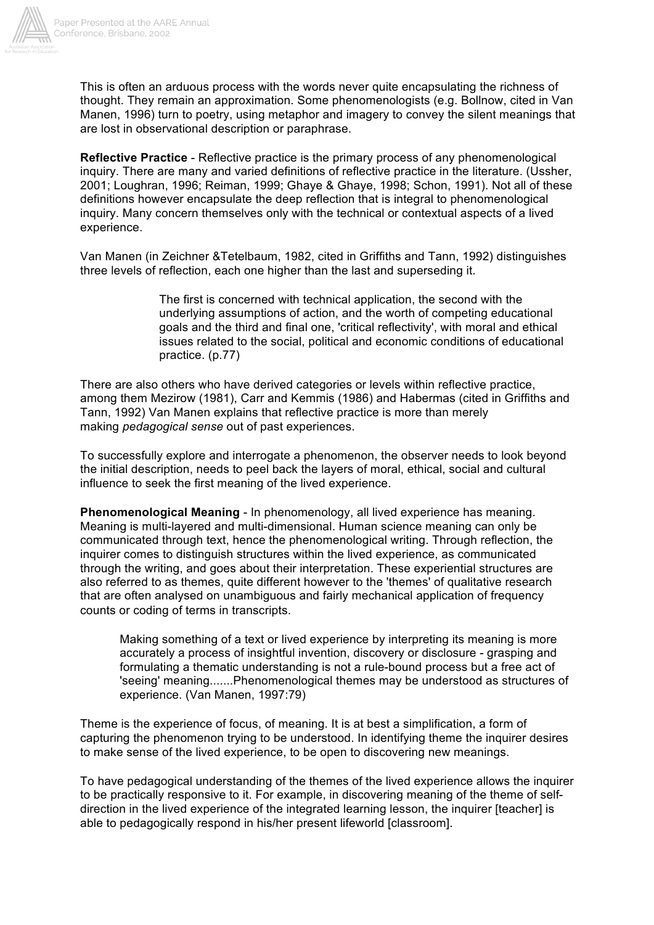

This is often an arduous process with the words never quite encapsulating the richness of thought. They remain an approximation. Some phenomenologists (e.g. Bollnow, cited in Van Manen, 1996) turn to poetry, using metaphor and imagery to convey the silent meanings that are lost in observational description or paraphrase.

**Reflective Practice** - Reflective practice is the primary process of any phenomenological inquiry. There are many and varied definitions of reflective practice in the literature. (Ussher, 2001; Loughran, 1996; Reiman, 1999; Ghaye & Ghaye, 1998; Schon, 1991). Not all of these definitions however encapsulate the deep reflection that is integral to phenomenological inquiry. Many concern themselves only with the technical or contextual aspects of a lived experience.

Van Manen (in Zeichner &Tetelbaum, 1982, cited in Griffiths and Tann, 1992) distinguishes three levels of reflection, each one higher than the last and superseding it.

> The first is concerned with technical application, the second with the underlying assumptions of action, and the worth of competing educational goals and the third and final one, 'critical reflectivity', with moral and ethical issues related to the social, political and economic conditions of educational practice. (p.77)

There are also others who have derived categories or levels within reflective practice, among them Mezirow (1981), Carr and Kemmis (1986) and Habermas (cited in Griffiths and Tann, 1992) Van Manen explains that reflective practice is more than merely making *pedagogical sense* out of past experiences.

To successfully explore and interrogate a phenomenon, the observer needs to look beyond the initial description, needs to peel back the layers of moral, ethical, social and cultural influence to seek the first meaning of the lived experience.

**Phenomenological Meaning** - In phenomenology, all lived experience has meaning. Meaning is multi-layered and multi-dimensional. Human science meaning can only be communicated through text, hence the phenomenological writing. Through reflection, the inquirer comes to distinguish structures within the lived experience, as communicated through the writing, and goes about their interpretation. These experiential structures are also referred to as themes, quite different however to the 'themes' of qualitative research that are often analysed on unambiguous and fairly mechanical application of frequency counts or coding of terms in transcripts.

Making something of a text or lived experience by interpreting its meaning is more accurately a process of insightful invention, discovery or disclosure - grasping and formulating a thematic understanding is not a rule-bound process but a free act of 'seeing' meaning.......Phenomenological themes may be understood as structures of experience. (Van Manen, 1997:79)

Theme is the experience of focus, of meaning. It is at best a simplification, a form of capturing the phenomenon trying to be understood. In identifying theme the inquirer desires to make sense of the lived experience, to be open to discovering new meanings.

To have pedagogical understanding of the themes of the lived experience allows the inquirer to be practically responsive to it. For example, in discovering meaning of the theme of selfdirection in the lived experience of the integrated learning lesson, the inquirer [teacher] is able to pedagogically respond in his/her present lifeworld [classroom].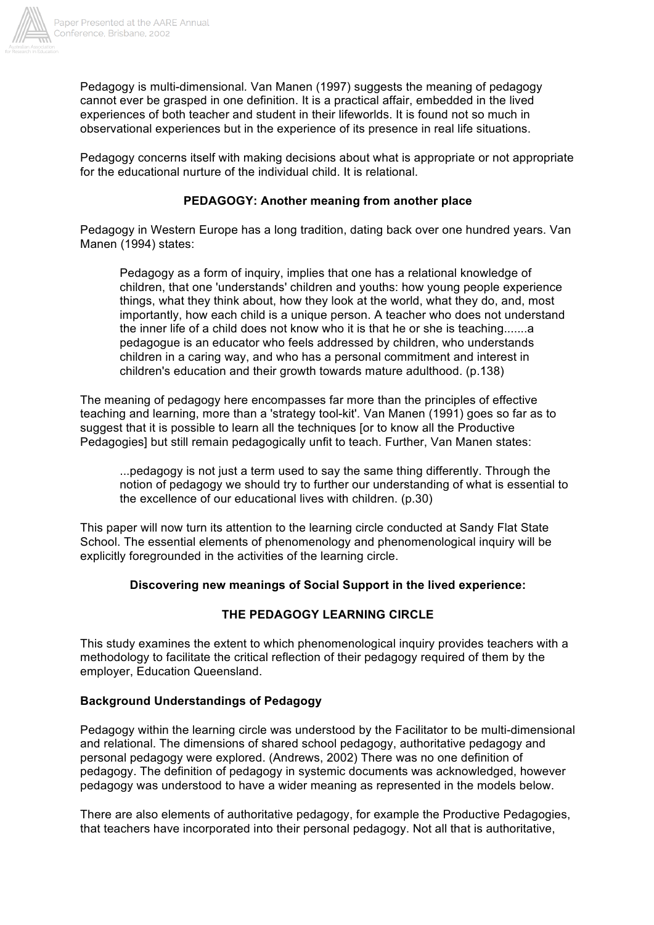

Pedagogy is multi-dimensional*.* Van Manen (1997) suggests the meaning of pedagogy cannot ever be grasped in one definition. It is a practical affair, embedded in the lived experiences of both teacher and student in their lifeworlds. It is found not so much in observational experiences but in the experience of its presence in real life situations.

Pedagogy concerns itself with making decisions about what is appropriate or not appropriate for the educational nurture of the individual child. It is relational.

## **PEDAGOGY: Another meaning from another place**

Pedagogy in Western Europe has a long tradition, dating back over one hundred years. Van Manen (1994) states:

Pedagogy as a form of inquiry, implies that one has a relational knowledge of children, that one 'understands' children and youths: how young people experience things, what they think about, how they look at the world, what they do, and, most importantly, how each child is a unique person. A teacher who does not understand the inner life of a child does not know who it is that he or she is teaching.......a pedagogue is an educator who feels addressed by children, who understands children in a caring way, and who has a personal commitment and interest in children's education and their growth towards mature adulthood. (p.138)

The meaning of pedagogy here encompasses far more than the principles of effective teaching and learning, more than a 'strategy tool-kit'. Van Manen (1991) goes so far as to suggest that it is possible to learn all the techniques [or to know all the Productive Pedagogies] but still remain pedagogically unfit to teach. Further, Van Manen states:

...pedagogy is not just a term used to say the same thing differently. Through the notion of pedagogy we should try to further our understanding of what is essential to the excellence of our educational lives with children. (p.30)

This paper will now turn its attention to the learning circle conducted at Sandy Flat State School. The essential elements of phenomenology and phenomenological inquiry will be explicitly foregrounded in the activities of the learning circle.

## **Discovering new meanings of Social Support in the lived experience:**

# **THE PEDAGOGY LEARNING CIRCLE**

This study examines the extent to which phenomenological inquiry provides teachers with a methodology to facilitate the critical reflection of their pedagogy required of them by the employer, Education Queensland.

## **Background Understandings of Pedagogy**

Pedagogy within the learning circle was understood by the Facilitator to be multi-dimensional and relational. The dimensions of shared school pedagogy, authoritative pedagogy and personal pedagogy were explored. (Andrews, 2002) There was no one definition of pedagogy. The definition of pedagogy in systemic documents was acknowledged, however pedagogy was understood to have a wider meaning as represented in the models below.

There are also elements of authoritative pedagogy, for example the Productive Pedagogies, that teachers have incorporated into their personal pedagogy. Not all that is authoritative,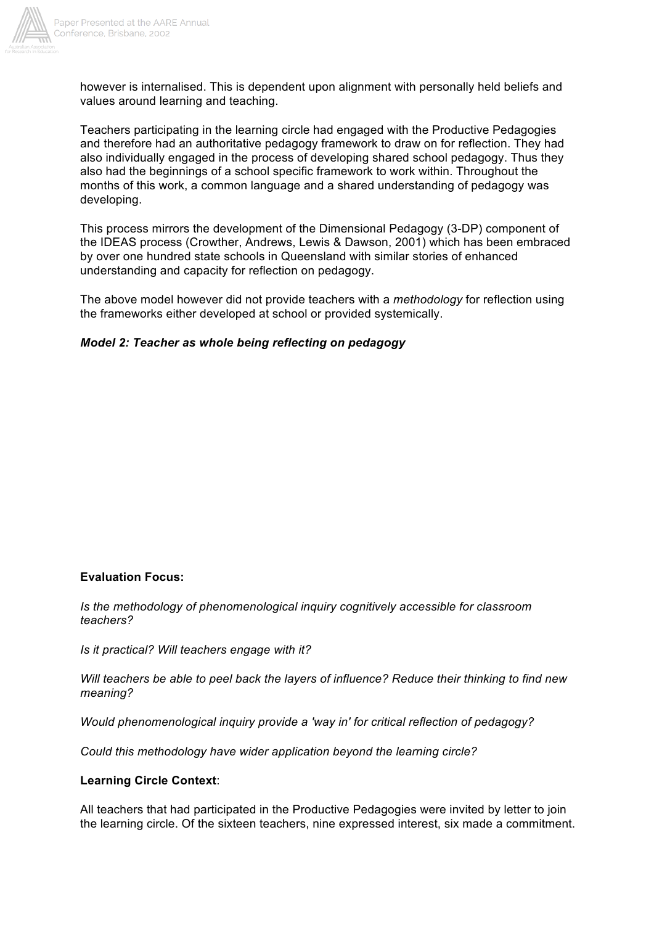

however is internalised. This is dependent upon alignment with personally held beliefs and values around learning and teaching.

Teachers participating in the learning circle had engaged with the Productive Pedagogies and therefore had an authoritative pedagogy framework to draw on for reflection. They had also individually engaged in the process of developing shared school pedagogy. Thus they also had the beginnings of a school specific framework to work within. Throughout the months of this work, a common language and a shared understanding of pedagogy was developing.

This process mirrors the development of the Dimensional Pedagogy (3-DP) component of the IDEAS process (Crowther, Andrews, Lewis & Dawson, 2001) which has been embraced by over one hundred state schools in Queensland with similar stories of enhanced understanding and capacity for reflection on pedagogy.

The above model however did not provide teachers with a *methodology* for reflection using the frameworks either developed at school or provided systemically.

## *Model 2: Teacher as whole being reflecting on pedagogy*

## **Evaluation Focus:**

*Is the methodology of phenomenological inquiry cognitively accessible for classroom teachers?*

*Is it practical? Will teachers engage with it?*

*Will teachers be able to peel back the layers of influence? Reduce their thinking to find new meaning?*

*Would phenomenological inquiry provide a 'way in' for critical reflection of pedagogy?*

*Could this methodology have wider application beyond the learning circle?*

#### **Learning Circle Context**:

All teachers that had participated in the Productive Pedagogies were invited by letter to join the learning circle. Of the sixteen teachers, nine expressed interest, six made a commitment.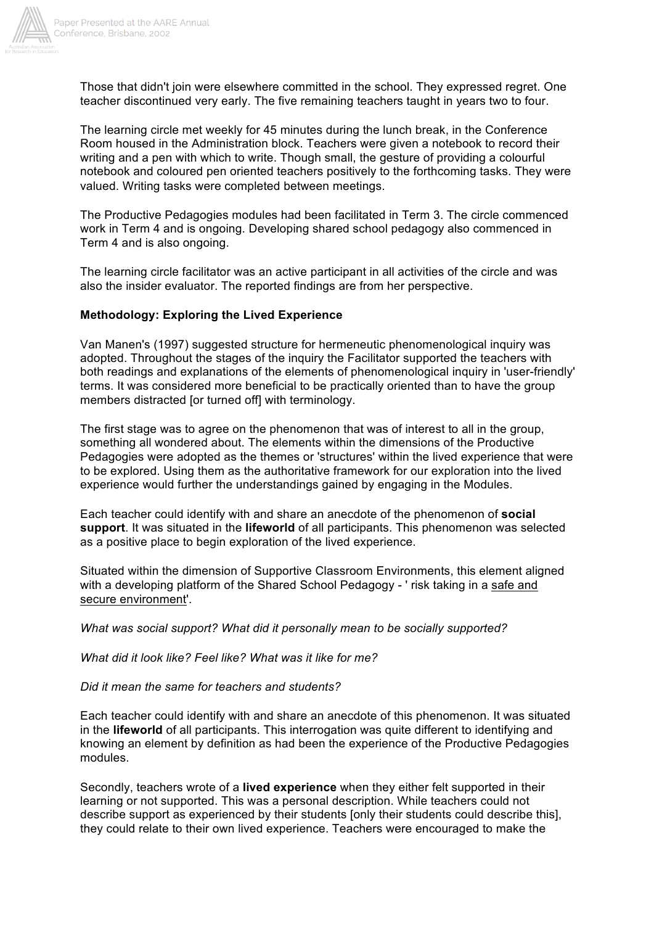

Those that didn't join were elsewhere committed in the school. They expressed regret. One teacher discontinued very early. The five remaining teachers taught in years two to four.

The learning circle met weekly for 45 minutes during the lunch break, in the Conference Room housed in the Administration block. Teachers were given a notebook to record their writing and a pen with which to write. Though small, the gesture of providing a colourful notebook and coloured pen oriented teachers positively to the forthcoming tasks. They were valued. Writing tasks were completed between meetings.

The Productive Pedagogies modules had been facilitated in Term 3. The circle commenced work in Term 4 and is ongoing. Developing shared school pedagogy also commenced in Term 4 and is also ongoing.

The learning circle facilitator was an active participant in all activities of the circle and was also the insider evaluator. The reported findings are from her perspective.

#### **Methodology: Exploring the Lived Experience**

Van Manen's (1997) suggested structure for hermeneutic phenomenological inquiry was adopted. Throughout the stages of the inquiry the Facilitator supported the teachers with both readings and explanations of the elements of phenomenological inquiry in 'user-friendly' terms. It was considered more beneficial to be practically oriented than to have the group members distracted [or turned off] with terminology.

The first stage was to agree on the phenomenon that was of interest to all in the group, something all wondered about. The elements within the dimensions of the Productive Pedagogies were adopted as the themes or 'structures' within the lived experience that were to be explored. Using them as the authoritative framework for our exploration into the lived experience would further the understandings gained by engaging in the Modules.

Each teacher could identify with and share an anecdote of the phenomenon of **social support**. It was situated in the **lifeworld** of all participants. This phenomenon was selected as a positive place to begin exploration of the lived experience.

Situated within the dimension of Supportive Classroom Environments, this element aligned with a developing platform of the Shared School Pedagogy - ' risk taking in a safe and secure environment'.

*What was social support? What did it personally mean to be socially supported?*

*What did it look like? Feel like? What was it like for me?*

*Did it mean the same for teachers and students?*

Each teacher could identify with and share an anecdote of this phenomenon. It was situated in the **lifeworld** of all participants. This interrogation was quite different to identifying and knowing an element by definition as had been the experience of the Productive Pedagogies modules.

Secondly, teachers wrote of a **lived experience** when they either felt supported in their learning or not supported. This was a personal description. While teachers could not describe support as experienced by their students [only their students could describe this], they could relate to their own lived experience. Teachers were encouraged to make the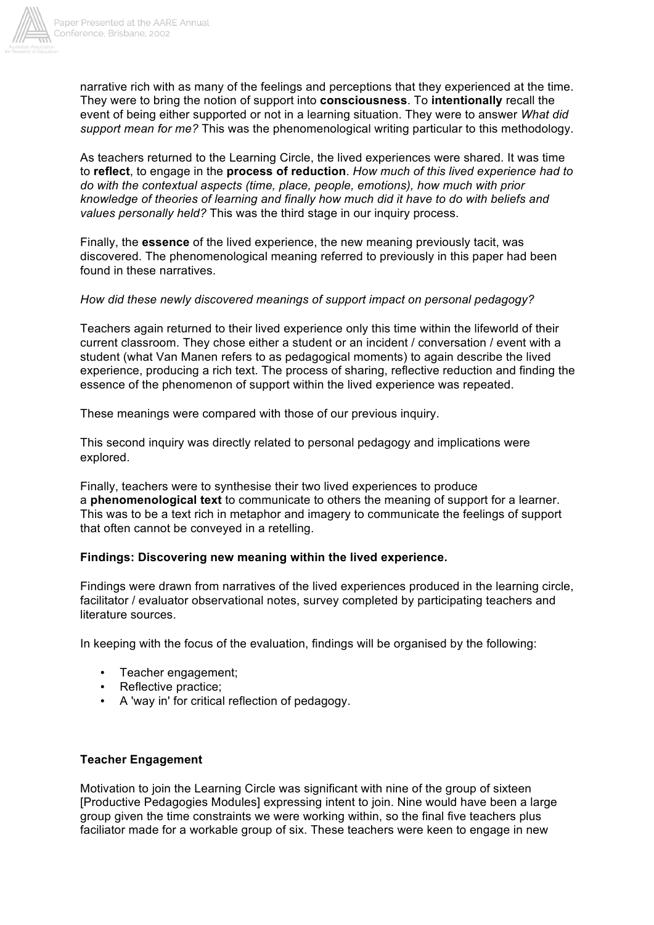

narrative rich with as many of the feelings and perceptions that they experienced at the time. They were to bring the notion of support into **consciousness**. To **intentionally** recall the event of being either supported or not in a learning situation. They were to answer *What did support mean for me?* This was the phenomenological writing particular to this methodology.

As teachers returned to the Learning Circle, the lived experiences were shared. It was time to **reflect**, to engage in the **process of reduction**. *How much of this lived experience had to do with the contextual aspects (time, place, people, emotions), how much with prior knowledge of theories of learning and finally how much did it have to do with beliefs and values personally held?* This was the third stage in our inquiry process.

Finally, the **essence** of the lived experience, the new meaning previously tacit, was discovered. The phenomenological meaning referred to previously in this paper had been found in these narratives.

## *How did these newly discovered meanings of support impact on personal pedagogy?*

Teachers again returned to their lived experience only this time within the lifeworld of their current classroom. They chose either a student or an incident / conversation / event with a student (what Van Manen refers to as pedagogical moments) to again describe the lived experience, producing a rich text. The process of sharing, reflective reduction and finding the essence of the phenomenon of support within the lived experience was repeated.

These meanings were compared with those of our previous inquiry.

This second inquiry was directly related to personal pedagogy and implications were explored.

Finally, teachers were to synthesise their two lived experiences to produce a **phenomenological text** to communicate to others the meaning of support for a learner. This was to be a text rich in metaphor and imagery to communicate the feelings of support that often cannot be conveyed in a retelling.

## **Findings: Discovering new meaning within the lived experience.**

Findings were drawn from narratives of the lived experiences produced in the learning circle, facilitator / evaluator observational notes, survey completed by participating teachers and literature sources.

In keeping with the focus of the evaluation, findings will be organised by the following:

- Teacher engagement;
- Reflective practice;
- A 'way in' for critical reflection of pedagogy.

## **Teacher Engagement**

Motivation to join the Learning Circle was significant with nine of the group of sixteen [Productive Pedagogies Modules] expressing intent to join. Nine would have been a large group given the time constraints we were working within, so the final five teachers plus faciliator made for a workable group of six. These teachers were keen to engage in new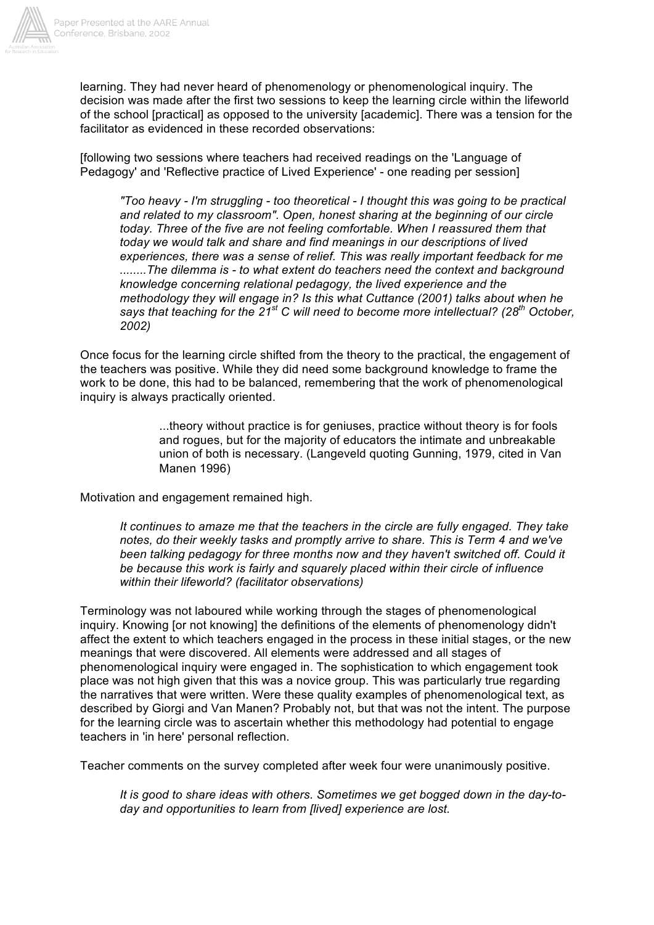

learning. They had never heard of phenomenology or phenomenological inquiry. The decision was made after the first two sessions to keep the learning circle within the lifeworld of the school [practical] as opposed to the university [academic]. There was a tension for the facilitator as evidenced in these recorded observations:

[following two sessions where teachers had received readings on the 'Language of Pedagogy' and 'Reflective practice of Lived Experience' - one reading per session]

*"Too heavy - I'm struggling - too theoretical - I thought this was going to be practical and related to my classroom". Open, honest sharing at the beginning of our circle today. Three of the five are not feeling comfortable. When I reassured them that today we would talk and share and find meanings in our descriptions of lived experiences, there was a sense of relief. This was really important feedback for me ........The dilemma is - to what extent do teachers need the context and background knowledge concerning relational pedagogy, the lived experience and the methodology they will engage in? Is this what Cuttance (2001) talks about when he says that teaching for the 21st C will need to become more intellectual? (28th October, 2002)*

Once focus for the learning circle shifted from the theory to the practical, the engagement of the teachers was positive. While they did need some background knowledge to frame the work to be done, this had to be balanced, remembering that the work of phenomenological inquiry is always practically oriented.

> ...theory without practice is for geniuses, practice without theory is for fools and rogues, but for the majority of educators the intimate and unbreakable union of both is necessary. (Langeveld quoting Gunning, 1979, cited in Van Manen 1996)

Motivation and engagement remained high.

*It continues to amaze me that the teachers in the circle are fully engaged. They take notes, do their weekly tasks and promptly arrive to share. This is Term 4 and we've been talking pedagogy for three months now and they haven't switched off. Could it be because this work is fairly and squarely placed within their circle of influence within their lifeworld? (facilitator observations)*

Terminology was not laboured while working through the stages of phenomenological inquiry. Knowing [or not knowing] the definitions of the elements of phenomenology didn't affect the extent to which teachers engaged in the process in these initial stages, or the new meanings that were discovered. All elements were addressed and all stages of phenomenological inquiry were engaged in. The sophistication to which engagement took place was not high given that this was a novice group. This was particularly true regarding the narratives that were written. Were these quality examples of phenomenological text, as described by Giorgi and Van Manen? Probably not, but that was not the intent. The purpose for the learning circle was to ascertain whether this methodology had potential to engage teachers in 'in here' personal reflection.

Teacher comments on the survey completed after week four were unanimously positive.

*It is good to share ideas with others. Sometimes we get bogged down in the day-today and opportunities to learn from [lived] experience are lost.*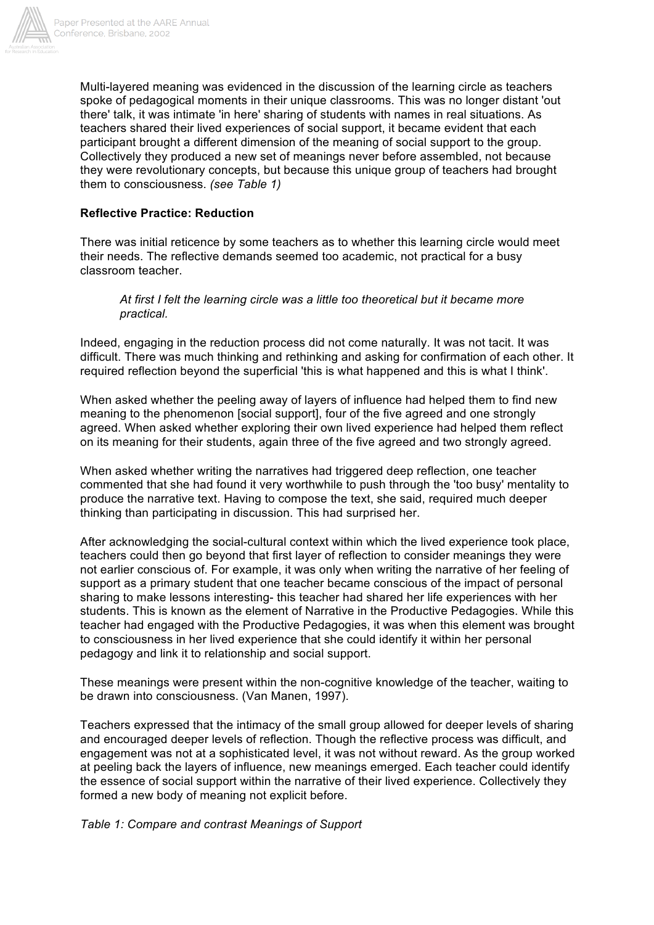

Multi-layered meaning was evidenced in the discussion of the learning circle as teachers spoke of pedagogical moments in their unique classrooms. This was no longer distant 'out there' talk, it was intimate 'in here' sharing of students with names in real situations. As teachers shared their lived experiences of social support, it became evident that each participant brought a different dimension of the meaning of social support to the group. Collectively they produced a new set of meanings never before assembled, not because they were revolutionary concepts, but because this unique group of teachers had brought them to consciousness. *(see Table 1)*

### **Reflective Practice: Reduction**

There was initial reticence by some teachers as to whether this learning circle would meet their needs. The reflective demands seemed too academic, not practical for a busy classroom teacher.

#### *At first I felt the learning circle was a little too theoretical but it became more practical.*

Indeed, engaging in the reduction process did not come naturally. It was not tacit. It was difficult. There was much thinking and rethinking and asking for confirmation of each other. It required reflection beyond the superficial 'this is what happened and this is what I think'.

When asked whether the peeling away of layers of influence had helped them to find new meaning to the phenomenon [social support], four of the five agreed and one strongly agreed. When asked whether exploring their own lived experience had helped them reflect on its meaning for their students, again three of the five agreed and two strongly agreed.

When asked whether writing the narratives had triggered deep reflection, one teacher commented that she had found it very worthwhile to push through the 'too busy' mentality to produce the narrative text. Having to compose the text, she said, required much deeper thinking than participating in discussion. This had surprised her.

After acknowledging the social-cultural context within which the lived experience took place, teachers could then go beyond that first layer of reflection to consider meanings they were not earlier conscious of. For example, it was only when writing the narrative of her feeling of support as a primary student that one teacher became conscious of the impact of personal sharing to make lessons interesting- this teacher had shared her life experiences with her students. This is known as the element of Narrative in the Productive Pedagogies. While this teacher had engaged with the Productive Pedagogies, it was when this element was brought to consciousness in her lived experience that she could identify it within her personal pedagogy and link it to relationship and social support.

These meanings were present within the non-cognitive knowledge of the teacher, waiting to be drawn into consciousness. (Van Manen, 1997).

Teachers expressed that the intimacy of the small group allowed for deeper levels of sharing and encouraged deeper levels of reflection. Though the reflective process was difficult, and engagement was not at a sophisticated level, it was not without reward. As the group worked at peeling back the layers of influence, new meanings emerged. Each teacher could identify the essence of social support within the narrative of their lived experience. Collectively they formed a new body of meaning not explicit before.

#### *Table 1: Compare and contrast Meanings of Support*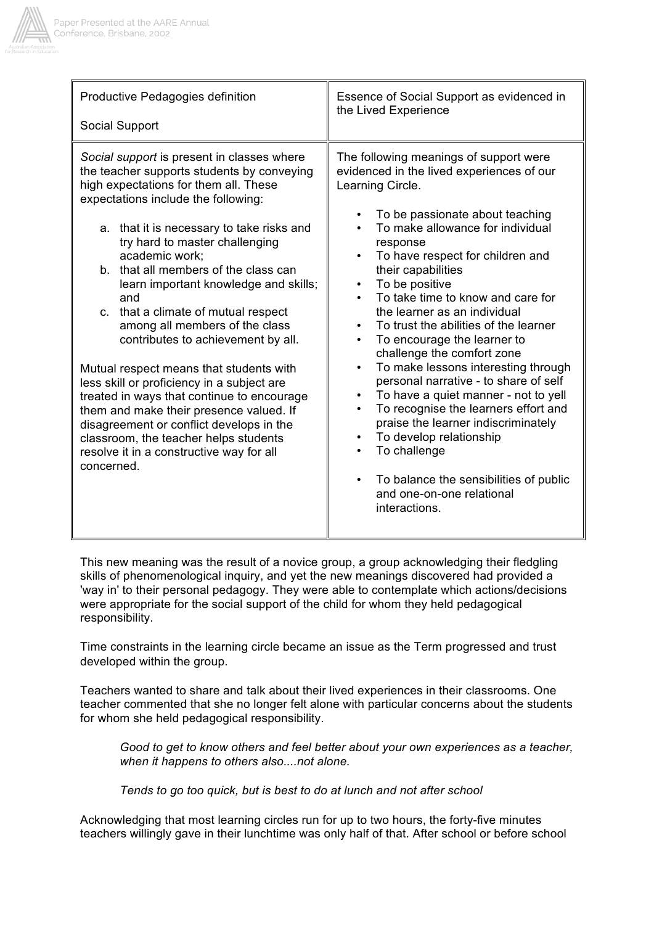

| Productive Pedagogies definition                                                                                                                                                                                                                                                                                                                                                                                                                                                                                                                                                                                                                                                                                                                                                                                  | Essence of Social Support as evidenced in                                                                                                                                                                                                                                                                                                                                                                                                                                                                                                                                                                                                                                                                                                                                                                                                                                      |
|-------------------------------------------------------------------------------------------------------------------------------------------------------------------------------------------------------------------------------------------------------------------------------------------------------------------------------------------------------------------------------------------------------------------------------------------------------------------------------------------------------------------------------------------------------------------------------------------------------------------------------------------------------------------------------------------------------------------------------------------------------------------------------------------------------------------|--------------------------------------------------------------------------------------------------------------------------------------------------------------------------------------------------------------------------------------------------------------------------------------------------------------------------------------------------------------------------------------------------------------------------------------------------------------------------------------------------------------------------------------------------------------------------------------------------------------------------------------------------------------------------------------------------------------------------------------------------------------------------------------------------------------------------------------------------------------------------------|
| Social Support                                                                                                                                                                                                                                                                                                                                                                                                                                                                                                                                                                                                                                                                                                                                                                                                    | the Lived Experience                                                                                                                                                                                                                                                                                                                                                                                                                                                                                                                                                                                                                                                                                                                                                                                                                                                           |
| Social support is present in classes where<br>the teacher supports students by conveying<br>high expectations for them all. These<br>expectations include the following:<br>a. that it is necessary to take risks and<br>try hard to master challenging<br>academic work;<br>b. that all members of the class can<br>learn important knowledge and skills;<br>and<br>c. that a climate of mutual respect<br>among all members of the class<br>contributes to achievement by all.<br>Mutual respect means that students with<br>less skill or proficiency in a subject are<br>treated in ways that continue to encourage<br>them and make their presence valued. If<br>disagreement or conflict develops in the<br>classroom, the teacher helps students<br>resolve it in a constructive way for all<br>concerned. | The following meanings of support were<br>evidenced in the lived experiences of our<br>Learning Circle.<br>To be passionate about teaching<br>To make allowance for individual<br>response<br>To have respect for children and<br>$\bullet$<br>their capabilities<br>To be positive<br>$\bullet$<br>To take time to know and care for<br>the learner as an individual<br>To trust the abilities of the learner<br>To encourage the learner to<br>٠<br>challenge the comfort zone<br>To make lessons interesting through<br>$\bullet$<br>personal narrative - to share of self<br>To have a quiet manner - not to yell<br>$\bullet$<br>To recognise the learners effort and<br>$\bullet$<br>praise the learner indiscriminately<br>To develop relationship<br>To challenge<br>To balance the sensibilities of public<br>$\bullet$<br>and one-on-one relational<br>interactions. |

This new meaning was the result of a novice group, a group acknowledging their fledgling skills of phenomenological inquiry, and yet the new meanings discovered had provided a 'way in' to their personal pedagogy. They were able to contemplate which actions/decisions were appropriate for the social support of the child for whom they held pedagogical responsibility.

Time constraints in the learning circle became an issue as the Term progressed and trust developed within the group.

Teachers wanted to share and talk about their lived experiences in their classrooms. One teacher commented that she no longer felt alone with particular concerns about the students for whom she held pedagogical responsibility.

*Good to get to know others and feel better about your own experiences as a teacher, when it happens to others also....not alone.*

*Tends to go too quick, but is best to do at lunch and not after school*

Acknowledging that most learning circles run for up to two hours, the forty-five minutes teachers willingly gave in their lunchtime was only half of that. After school or before school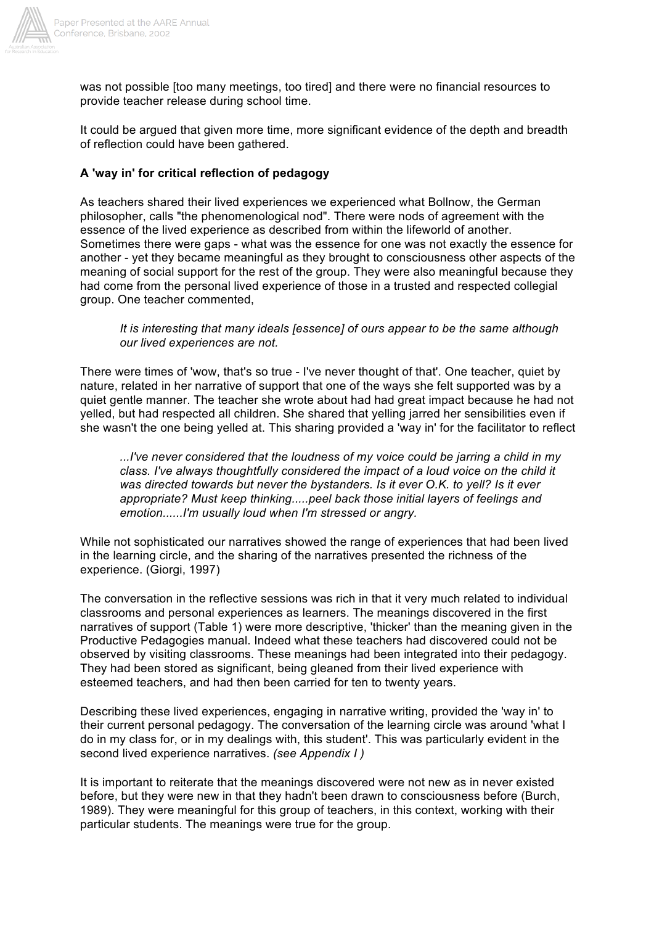

was not possible [too many meetings, too tired] and there were no financial resources to provide teacher release during school time.

It could be argued that given more time, more significant evidence of the depth and breadth of reflection could have been gathered.

## **A 'way in' for critical reflection of pedagogy**

As teachers shared their lived experiences we experienced what Bollnow, the German philosopher, calls "the phenomenological nod". There were nods of agreement with the essence of the lived experience as described from within the lifeworld of another. Sometimes there were gaps - what was the essence for one was not exactly the essence for another - yet they became meaningful as they brought to consciousness other aspects of the meaning of social support for the rest of the group. They were also meaningful because they had come from the personal lived experience of those in a trusted and respected collegial group. One teacher commented,

#### *It is interesting that many ideals [essence] of ours appear to be the same although our lived experiences are not.*

There were times of 'wow, that's so true - I've never thought of that'. One teacher, quiet by nature, related in her narrative of support that one of the ways she felt supported was by a quiet gentle manner. The teacher she wrote about had had great impact because he had not yelled, but had respected all children. She shared that yelling jarred her sensibilities even if she wasn't the one being yelled at. This sharing provided a 'way in' for the facilitator to reflect

*...I've never considered that the loudness of my voice could be jarring a child in my class. I've always thoughtfully considered the impact of a loud voice on the child it was directed towards but never the bystanders. Is it ever O.K. to yell? Is it ever appropriate? Must keep thinking.....peel back those initial layers of feelings and emotion......I'm usually loud when I'm stressed or angry.*

While not sophisticated our narratives showed the range of experiences that had been lived in the learning circle, and the sharing of the narratives presented the richness of the experience. (Giorgi, 1997)

The conversation in the reflective sessions was rich in that it very much related to individual classrooms and personal experiences as learners. The meanings discovered in the first narratives of support (Table 1) were more descriptive, 'thicker' than the meaning given in the Productive Pedagogies manual. Indeed what these teachers had discovered could not be observed by visiting classrooms. These meanings had been integrated into their pedagogy. They had been stored as significant, being gleaned from their lived experience with esteemed teachers, and had then been carried for ten to twenty years.

Describing these lived experiences, engaging in narrative writing, provided the 'way in' to their current personal pedagogy. The conversation of the learning circle was around 'what I do in my class for, or in my dealings with, this student'. This was particularly evident in the second lived experience narratives. *(see Appendix I )*

It is important to reiterate that the meanings discovered were not new as in never existed before, but they were new in that they hadn't been drawn to consciousness before (Burch, 1989). They were meaningful for this group of teachers, in this context, working with their particular students. The meanings were true for the group.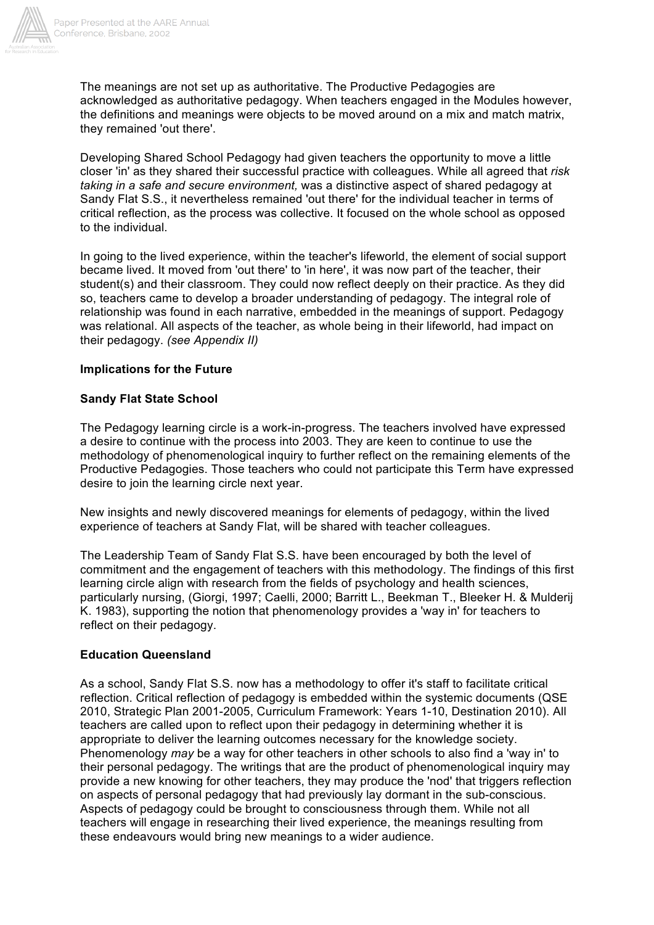

The meanings are not set up as authoritative. The Productive Pedagogies are acknowledged as authoritative pedagogy. When teachers engaged in the Modules however, the definitions and meanings were objects to be moved around on a mix and match matrix, they remained 'out there'.

Developing Shared School Pedagogy had given teachers the opportunity to move a little closer 'in' as they shared their successful practice with colleagues. While all agreed that *risk taking in a safe and secure environment,* was a distinctive aspect of shared pedagogy at Sandy Flat S.S., it nevertheless remained 'out there' for the individual teacher in terms of critical reflection, as the process was collective. It focused on the whole school as opposed to the individual.

In going to the lived experience, within the teacher's lifeworld, the element of social support became lived. It moved from 'out there' to 'in here', it was now part of the teacher, their student(s) and their classroom. They could now reflect deeply on their practice. As they did so, teachers came to develop a broader understanding of pedagogy. The integral role of relationship was found in each narrative, embedded in the meanings of support. Pedagogy was relational. All aspects of the teacher, as whole being in their lifeworld, had impact on their pedagogy. *(see Appendix II)*

## **Implications for the Future**

## **Sandy Flat State School**

The Pedagogy learning circle is a work-in-progress. The teachers involved have expressed a desire to continue with the process into 2003. They are keen to continue to use the methodology of phenomenological inquiry to further reflect on the remaining elements of the Productive Pedagogies. Those teachers who could not participate this Term have expressed desire to join the learning circle next year.

New insights and newly discovered meanings for elements of pedagogy, within the lived experience of teachers at Sandy Flat, will be shared with teacher colleagues.

The Leadership Team of Sandy Flat S.S. have been encouraged by both the level of commitment and the engagement of teachers with this methodology. The findings of this first learning circle align with research from the fields of psychology and health sciences, particularly nursing, (Giorgi, 1997; Caelli, 2000; Barritt L., Beekman T., Bleeker H. & Mulderij K. 1983), supporting the notion that phenomenology provides a 'way in' for teachers to reflect on their pedagogy.

## **Education Queensland**

As a school, Sandy Flat S.S. now has a methodology to offer it's staff to facilitate critical reflection. Critical reflection of pedagogy is embedded within the systemic documents (QSE 2010, Strategic Plan 2001-2005, Curriculum Framework: Years 1-10, Destination 2010). All teachers are called upon to reflect upon their pedagogy in determining whether it is appropriate to deliver the learning outcomes necessary for the knowledge society. Phenomenology *may* be a way for other teachers in other schools to also find a 'way in' to their personal pedagogy. The writings that are the product of phenomenological inquiry may provide a new knowing for other teachers, they may produce the 'nod' that triggers reflection on aspects of personal pedagogy that had previously lay dormant in the sub-conscious. Aspects of pedagogy could be brought to consciousness through them. While not all teachers will engage in researching their lived experience, the meanings resulting from these endeavours would bring new meanings to a wider audience.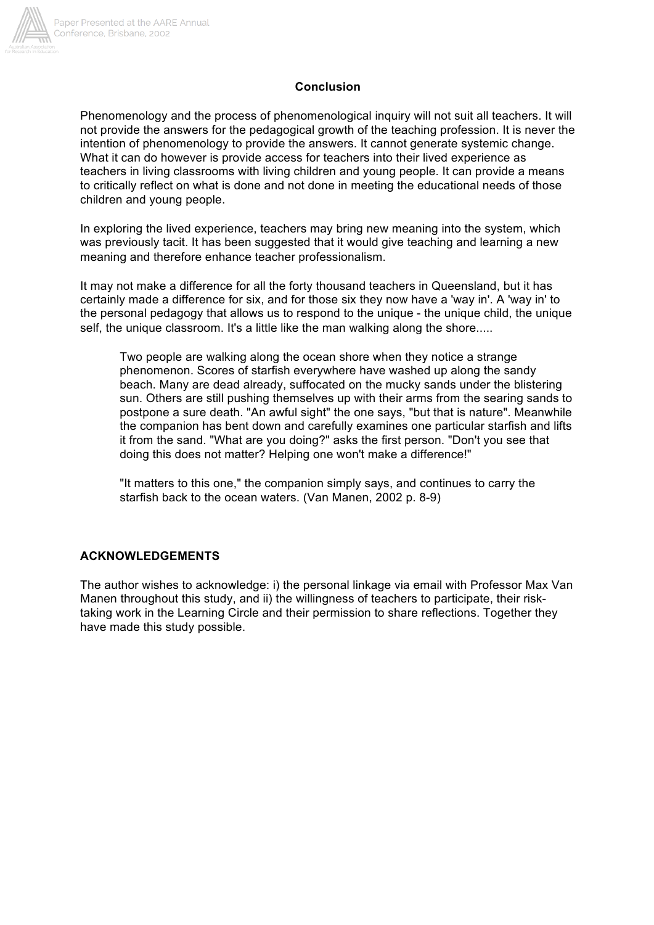

## **Conclusion**

Phenomenology and the process of phenomenological inquiry will not suit all teachers. It will not provide the answers for the pedagogical growth of the teaching profession. It is never the intention of phenomenology to provide the answers. It cannot generate systemic change. What it can do however is provide access for teachers into their lived experience as teachers in living classrooms with living children and young people. It can provide a means to critically reflect on what is done and not done in meeting the educational needs of those children and young people.

In exploring the lived experience, teachers may bring new meaning into the system, which was previously tacit. It has been suggested that it would give teaching and learning a new meaning and therefore enhance teacher professionalism.

It may not make a difference for all the forty thousand teachers in Queensland, but it has certainly made a difference for six, and for those six they now have a 'way in'. A 'way in' to the personal pedagogy that allows us to respond to the unique - the unique child, the unique self, the unique classroom. It's a little like the man walking along the shore.....

Two people are walking along the ocean shore when they notice a strange phenomenon. Scores of starfish everywhere have washed up along the sandy beach. Many are dead already, suffocated on the mucky sands under the blistering sun. Others are still pushing themselves up with their arms from the searing sands to postpone a sure death. "An awful sight" the one says, "but that is nature". Meanwhile the companion has bent down and carefully examines one particular starfish and lifts it from the sand. "What are you doing?" asks the first person. "Don't you see that doing this does not matter? Helping one won't make a difference!"

"It matters to this one," the companion simply says, and continues to carry the starfish back to the ocean waters. (Van Manen, 2002 p. 8-9)

## **ACKNOWLEDGEMENTS**

The author wishes to acknowledge: i) the personal linkage via email with Professor Max Van Manen throughout this study, and ii) the willingness of teachers to participate, their risktaking work in the Learning Circle and their permission to share reflections. Together they have made this study possible.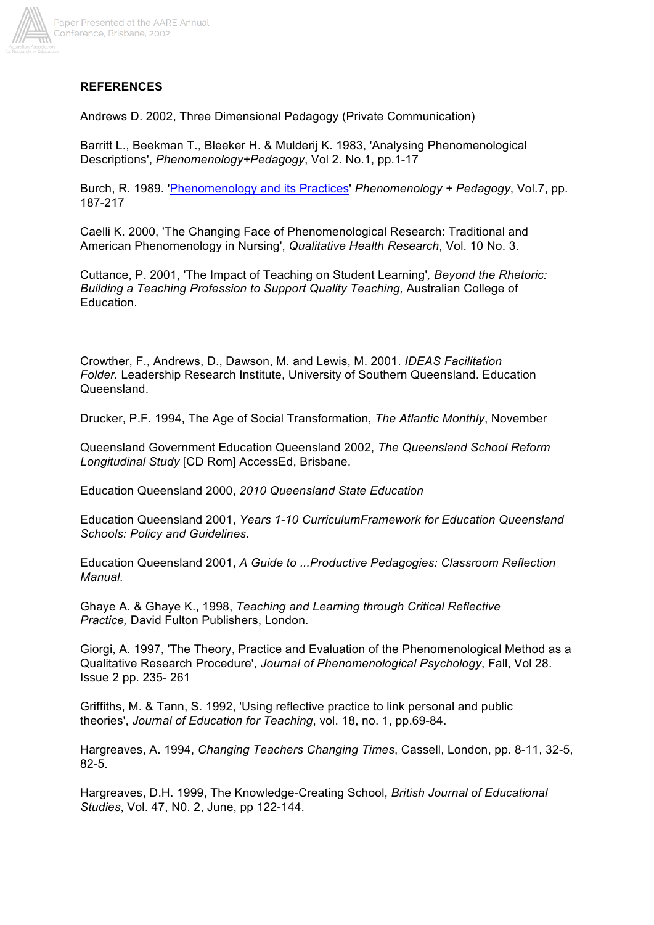

# **REFERENCES**

Andrews D. 2002, Three Dimensional Pedagogy (Private Communication)

Barritt L., Beekman T., Bleeker H. & Mulderij K. 1983, 'Analysing Phenomenological Descriptions', *Phenomenology+Pedagogy*, Vol 2. No.1, pp.1-17

Burch, R. 1989. 'Phenomenology and its Practices' *Phenomenology + Pedagogy*, Vol.7, pp. 187-217

Caelli K. 2000, 'The Changing Face of Phenomenological Research: Traditional and American Phenomenology in Nursing', *Qualitative Health Research*, Vol. 10 No. 3.

Cuttance, P. 2001, 'The Impact of Teaching on Student Learning'*, Beyond the Rhetoric: Building a Teaching Profession to Support Quality Teaching,* Australian College of Education.

Crowther, F., Andrews, D., Dawson, M. and Lewis, M. 2001. *IDEAS Facilitation Folder.* Leadership Research Institute, University of Southern Queensland. Education Queensland.

Drucker, P.F. 1994, The Age of Social Transformation, *The Atlantic Monthly*, November

Queensland Government Education Queensland 2002, *The Queensland School Reform Longitudinal Study* [CD Rom] AccessEd, Brisbane.

Education Queensland 2000, *2010 Queensland State Education*

Education Queensland 2001, *Years 1-10 CurriculumFramework for Education Queensland Schools: Policy and Guidelines.*

Education Queensland 2001, *A Guide to ...Productive Pedagogies: Classroom Reflection Manual.*

Ghaye A. & Ghaye K., 1998, *Teaching and Learning through Critical Reflective Practice,* David Fulton Publishers, London.

Giorgi, A. 1997, 'The Theory, Practice and Evaluation of the Phenomenological Method as a Qualitative Research Procedure', *Journal of Phenomenological Psychology*, Fall, Vol 28. Issue 2 pp. 235- 261

Griffiths, M. & Tann, S. 1992, 'Using reflective practice to link personal and public theories', *Journal of Education for Teaching*, vol. 18, no. 1, pp.69-84.

Hargreaves, A. 1994, *Changing Teachers Changing Times*, Cassell, London, pp. 8-11, 32-5, 82-5.

Hargreaves, D.H. 1999, The Knowledge-Creating School, *British Journal of Educational Studies*, Vol. 47, N0. 2, June, pp 122-144.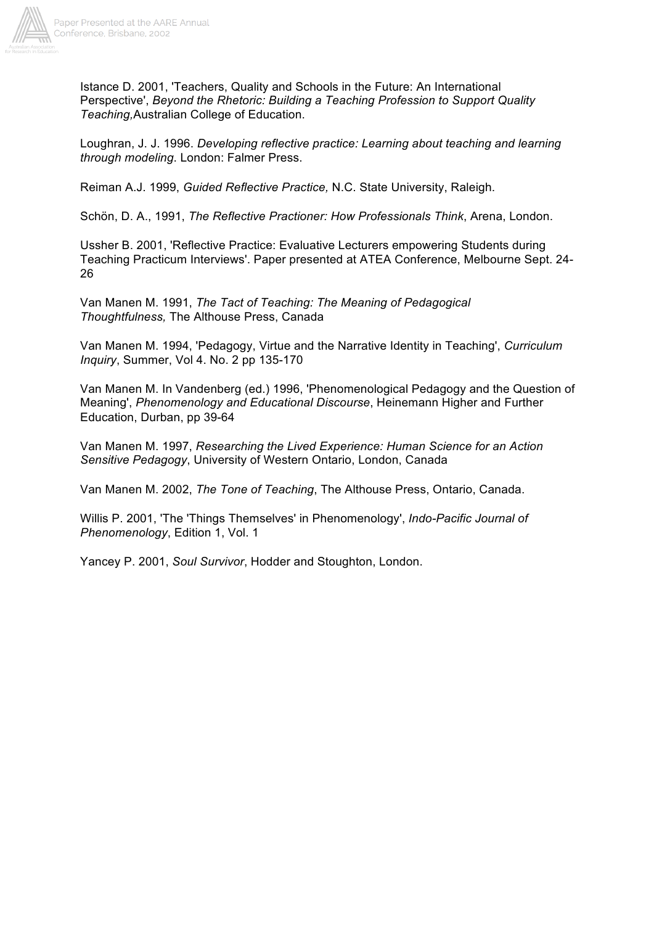

Istance D. 2001, 'Teachers, Quality and Schools in the Future: An International Perspective', *Beyond the Rhetoric: Building a Teaching Profession to Support Quality Teaching,*Australian College of Education.

Loughran, J. J. 1996. *Developing reflective practice: Learning about teaching and learning through modeling*. London: Falmer Press.

Reiman A.J. 1999, *Guided Reflective Practice,* N.C. State University, Raleigh.

Schön, D. A., 1991, *The Reflective Practioner: How Professionals Think*, Arena, London.

Ussher B. 2001, 'Reflective Practice: Evaluative Lecturers empowering Students during Teaching Practicum Interviews'. Paper presented at ATEA Conference, Melbourne Sept. 24- 26

Van Manen M. 1991, *The Tact of Teaching: The Meaning of Pedagogical Thoughtfulness,* The Althouse Press, Canada

Van Manen M. 1994, 'Pedagogy, Virtue and the Narrative Identity in Teaching', *Curriculum Inquiry*, Summer, Vol 4. No. 2 pp 135-170

Van Manen M. In Vandenberg (ed.) 1996, 'Phenomenological Pedagogy and the Question of Meaning', *Phenomenology and Educational Discourse*, Heinemann Higher and Further Education, Durban, pp 39-64

Van Manen M. 1997, *Researching the Lived Experience: Human Science for an Action Sensitive Pedagogy*, University of Western Ontario, London, Canada

Van Manen M. 2002, *The Tone of Teaching*, The Althouse Press, Ontario, Canada.

Willis P. 2001, 'The 'Things Themselves' in Phenomenology', *Indo-Pacific Journal of Phenomenology*, Edition 1, Vol. 1

Yancey P. 2001, *Soul Survivor*, Hodder and Stoughton, London.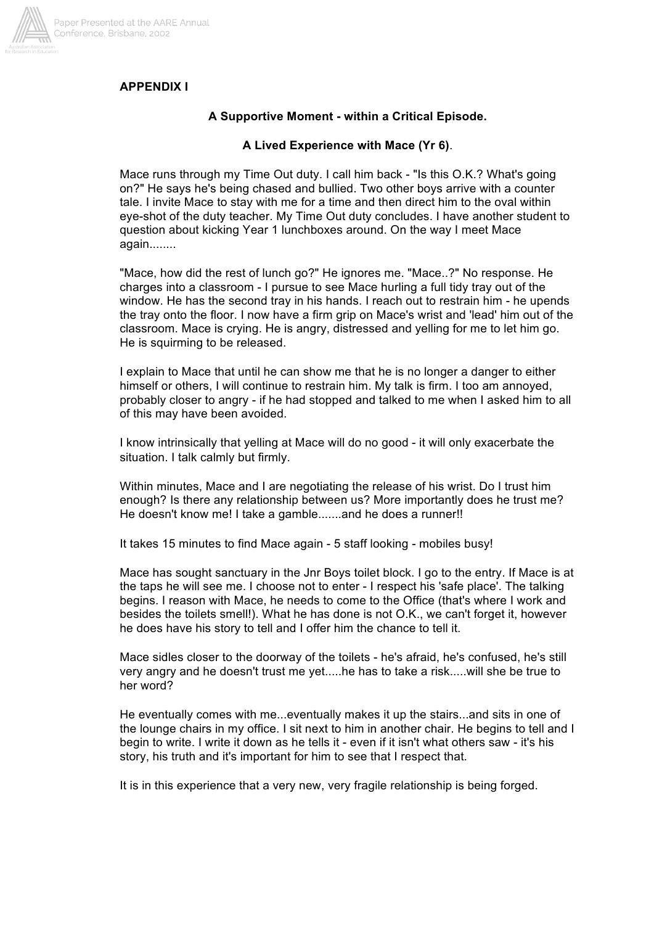

# **APPENDIX I**

## **A Supportive Moment - within a Critical Episode.**

## **A Lived Experience with Mace (Yr 6)**.

Mace runs through my Time Out duty. I call him back - "Is this O.K.? What's going on?" He says he's being chased and bullied. Two other boys arrive with a counter tale. I invite Mace to stay with me for a time and then direct him to the oval within eye-shot of the duty teacher. My Time Out duty concludes. I have another student to question about kicking Year 1 lunchboxes around. On the way I meet Mace again........

"Mace, how did the rest of lunch go?" He ignores me. "Mace..?" No response. He charges into a classroom - I pursue to see Mace hurling a full tidy tray out of the window. He has the second tray in his hands. I reach out to restrain him - he upends the tray onto the floor. I now have a firm grip on Mace's wrist and 'lead' him out of the classroom. Mace is crying. He is angry, distressed and yelling for me to let him go. He is squirming to be released.

I explain to Mace that until he can show me that he is no longer a danger to either himself or others, I will continue to restrain him. My talk is firm. I too am annoyed, probably closer to angry - if he had stopped and talked to me when I asked him to all of this may have been avoided.

I know intrinsically that yelling at Mace will do no good - it will only exacerbate the situation. I talk calmly but firmly.

Within minutes, Mace and I are negotiating the release of his wrist. Do I trust him enough? Is there any relationship between us? More importantly does he trust me? He doesn't know me! I take a gamble.......and he does a runner!!

It takes 15 minutes to find Mace again - 5 staff looking - mobiles busy!

Mace has sought sanctuary in the Jnr Boys toilet block. I go to the entry. If Mace is at the taps he will see me. I choose not to enter - I respect his 'safe place'. The talking begins. I reason with Mace, he needs to come to the Office (that's where I work and besides the toilets smell!). What he has done is not O.K., we can't forget it, however he does have his story to tell and I offer him the chance to tell it.

Mace sidles closer to the doorway of the toilets - he's afraid, he's confused, he's still very angry and he doesn't trust me yet.....he has to take a risk.....will she be true to her word?

He eventually comes with me...eventually makes it up the stairs...and sits in one of the lounge chairs in my office. I sit next to him in another chair. He begins to tell and I begin to write. I write it down as he tells it - even if it isn't what others saw - it's his story, his truth and it's important for him to see that I respect that.

It is in this experience that a very new, very fragile relationship is being forged.